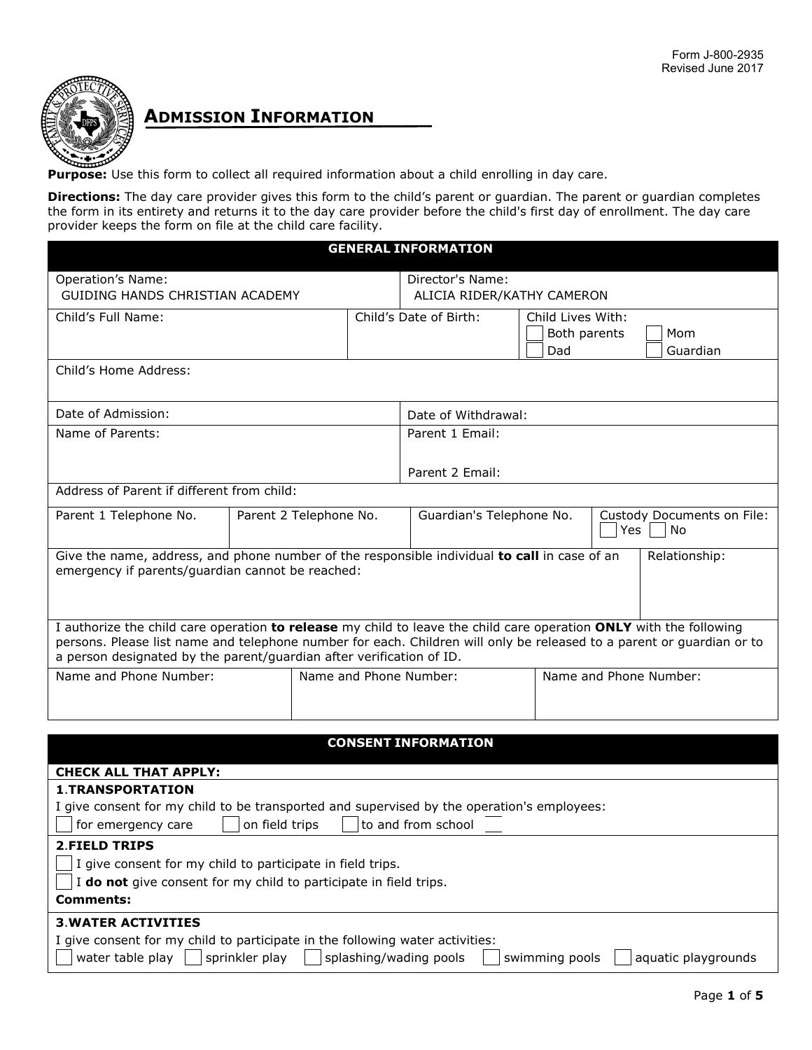

# **ADMISSION INFORMATION**

**Purpose:** Use this form to collect all required information about a child enrolling in day care.

**Directions:** The day care provider gives this form to the child's parent or guardian. The parent or guardian completes the form in its entirety and returns it to the day care provider before the child's first day of enrollment. The day care provider keeps the form on file at the child care facility.

#### **GENERAL INFORMATION**

| Operation's Name:<br>GUIDING HANDS CHRISTIAN ACADEMY                                                                  |                        |  | Director's Name:<br>ALICIA RIDER/KATHY CAMERON |                        |     |                            |
|-----------------------------------------------------------------------------------------------------------------------|------------------------|--|------------------------------------------------|------------------------|-----|----------------------------|
|                                                                                                                       |                        |  |                                                |                        |     |                            |
| Child's Full Name:                                                                                                    |                        |  | Child's Date of Birth:                         | Child Lives With:      |     |                            |
|                                                                                                                       |                        |  |                                                | Both parents           |     | Mom                        |
|                                                                                                                       |                        |  |                                                | Dad                    |     | Guardian                   |
| Child's Home Address:                                                                                                 |                        |  |                                                |                        |     |                            |
| Date of Admission:                                                                                                    |                        |  | Date of Withdrawal:                            |                        |     |                            |
| Name of Parents:                                                                                                      |                        |  | Parent 1 Email:                                |                        |     |                            |
|                                                                                                                       |                        |  |                                                |                        |     |                            |
|                                                                                                                       |                        |  | Parent 2 Email:                                |                        |     |                            |
| Address of Parent if different from child:                                                                            |                        |  |                                                |                        |     |                            |
| Parent 1 Telephone No.                                                                                                | Parent 2 Telephone No. |  | Guardian's Telephone No.                       |                        |     | Custody Documents on File: |
|                                                                                                                       |                        |  |                                                |                        | Yes | No                         |
| Give the name, address, and phone number of the responsible individual to call in case of an                          |                        |  |                                                |                        |     | Relationship:              |
| emergency if parents/guardian cannot be reached:                                                                      |                        |  |                                                |                        |     |                            |
|                                                                                                                       |                        |  |                                                |                        |     |                            |
|                                                                                                                       |                        |  |                                                |                        |     |                            |
| I authorize the child care operation to release my child to leave the child care operation ONLY with the following    |                        |  |                                                |                        |     |                            |
| persons. Please list name and telephone number for each. Children will only be released to a parent or guardian or to |                        |  |                                                |                        |     |                            |
| a person designated by the parent/guardian after verification of ID.                                                  |                        |  |                                                |                        |     |                            |
| Name and Phone Number:                                                                                                |                        |  | Name and Phone Number:                         | Name and Phone Number: |     |                            |
|                                                                                                                       |                        |  |                                                |                        |     |                            |
|                                                                                                                       |                        |  |                                                |                        |     |                            |
|                                                                                                                       |                        |  | <b>CONSENT INFORMATION</b>                     |                        |     |                            |
|                                                                                                                       |                        |  |                                                |                        |     |                            |
| <b>CHECK ALL THAT APPLY:</b>                                                                                          |                        |  |                                                |                        |     |                            |
| <b>1.TRANSPORTATION</b>                                                                                               |                        |  |                                                |                        |     |                            |
| I give consent for my child to be transported and supervised by the operation's employees:                            |                        |  |                                                |                        |     |                            |
| to and from school<br>for emergency care<br>on field trips                                                            |                        |  |                                                |                        |     |                            |
| <b>2.FIELD TRIPS</b>                                                                                                  |                        |  |                                                |                        |     |                            |
| I give consent for my child to participate in field trips.                                                            |                        |  |                                                |                        |     |                            |
| I do not give consent for my child to participate in field trips.                                                     |                        |  |                                                |                        |     |                            |

**Comments:**

# **3**.**WATER ACTIVITIES**

|  |  |  |  |  |  |  | I give consent for my child to participate in the following water activities: |  |  |  |  |  |
|--|--|--|--|--|--|--|-------------------------------------------------------------------------------|--|--|--|--|--|
|--|--|--|--|--|--|--|-------------------------------------------------------------------------------|--|--|--|--|--|

|  | water table play | sprinkler play |  | splashing/wading pools |  | swimming pools |  | aquatic playgrounds |
|--|------------------|----------------|--|------------------------|--|----------------|--|---------------------|
|--|------------------|----------------|--|------------------------|--|----------------|--|---------------------|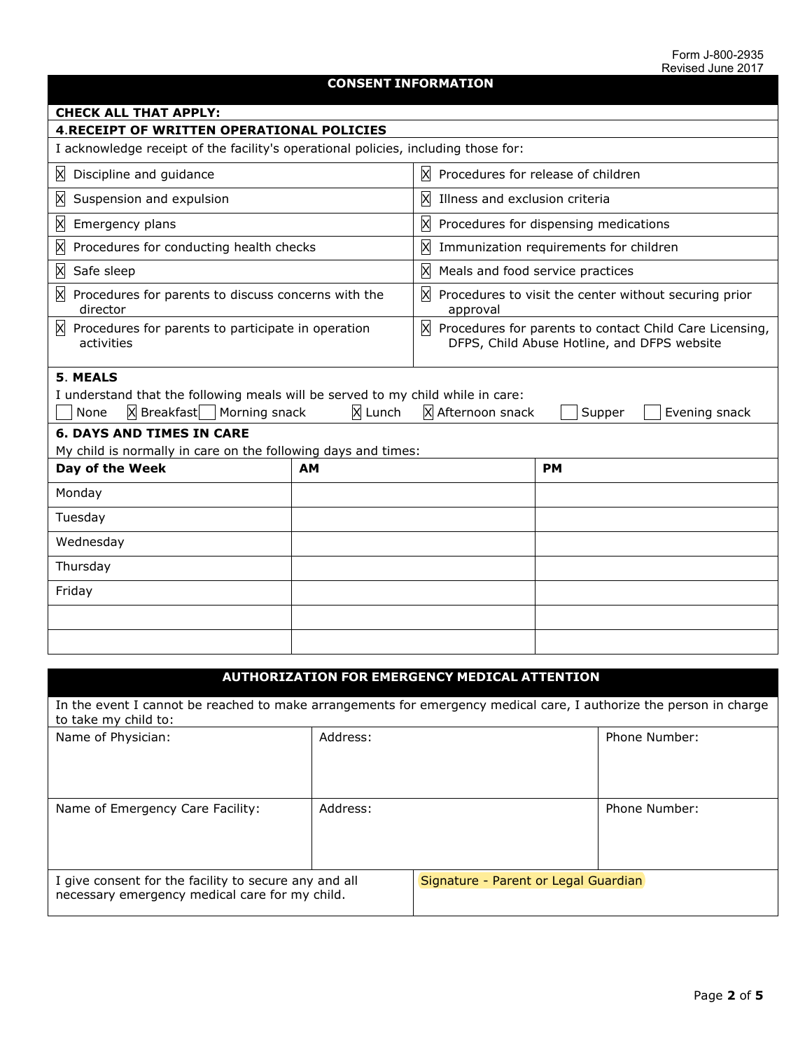## **CONSENT INFORMATION**

| <b>CHECK ALL THAT APPLY:</b>                                                                                                                                                           |                                                  |                                                                                                                     |  |  |  |  |  |  |
|----------------------------------------------------------------------------------------------------------------------------------------------------------------------------------------|--------------------------------------------------|---------------------------------------------------------------------------------------------------------------------|--|--|--|--|--|--|
|                                                                                                                                                                                        | <b>4.RECEIPT OF WRITTEN OPERATIONAL POLICIES</b> |                                                                                                                     |  |  |  |  |  |  |
| I acknowledge receipt of the facility's operational policies, including those for:                                                                                                     |                                                  |                                                                                                                     |  |  |  |  |  |  |
| Discipline and guidance<br>X                                                                                                                                                           |                                                  | X.<br>Procedures for release of children                                                                            |  |  |  |  |  |  |
| X<br>Suspension and expulsion                                                                                                                                                          |                                                  | X<br>Illness and exclusion criteria                                                                                 |  |  |  |  |  |  |
| X<br>Emergency plans                                                                                                                                                                   |                                                  | X<br>Procedures for dispensing medications                                                                          |  |  |  |  |  |  |
| X<br>Procedures for conducting health checks                                                                                                                                           |                                                  | X<br>Immunization requirements for children                                                                         |  |  |  |  |  |  |
| X<br>Safe sleep                                                                                                                                                                        |                                                  | X<br>Meals and food service practices                                                                               |  |  |  |  |  |  |
| X<br>Procedures for parents to discuss concerns with the<br>director                                                                                                                   |                                                  | X<br>Procedures to visit the center without securing prior<br>approval                                              |  |  |  |  |  |  |
| X.<br>Procedures for parents to participate in operation<br>activities                                                                                                                 |                                                  | $\mathbb{X}$ Procedures for parents to contact Child Care Licensing,<br>DFPS, Child Abuse Hotline, and DFPS website |  |  |  |  |  |  |
| 5. MEALS<br>I understand that the following meals will be served to my child while in care:<br>$\mathsf{\times}$ Breakfast   Morning snack<br>None<br><b>6. DAYS AND TIMES IN CARE</b> | X Lunch                                          | X Afternoon snack<br>Evening snack<br>Supper                                                                        |  |  |  |  |  |  |
| My child is normally in care on the following days and times:                                                                                                                          |                                                  |                                                                                                                     |  |  |  |  |  |  |
| Day of the Week                                                                                                                                                                        | <b>AM</b>                                        | <b>PM</b>                                                                                                           |  |  |  |  |  |  |
| Monday                                                                                                                                                                                 |                                                  |                                                                                                                     |  |  |  |  |  |  |
| Tuesday                                                                                                                                                                                |                                                  |                                                                                                                     |  |  |  |  |  |  |
| Wednesday                                                                                                                                                                              |                                                  |                                                                                                                     |  |  |  |  |  |  |
| Thursday                                                                                                                                                                               |                                                  |                                                                                                                     |  |  |  |  |  |  |
| Friday                                                                                                                                                                                 |                                                  |                                                                                                                     |  |  |  |  |  |  |
|                                                                                                                                                                                        |                                                  |                                                                                                                     |  |  |  |  |  |  |
|                                                                                                                                                                                        |                                                  |                                                                                                                     |  |  |  |  |  |  |

| <b>AUTHORIZATION FOR EMERGENCY MEDICAL ATTENTION</b>                                                    |                                                                                                                    |                                      |               |  |  |  |
|---------------------------------------------------------------------------------------------------------|--------------------------------------------------------------------------------------------------------------------|--------------------------------------|---------------|--|--|--|
| to take my child to:                                                                                    | In the event I cannot be reached to make arrangements for emergency medical care, I authorize the person in charge |                                      |               |  |  |  |
| Name of Physician:                                                                                      | Address:                                                                                                           |                                      | Phone Number: |  |  |  |
| Name of Emergency Care Facility:                                                                        | Address:                                                                                                           |                                      | Phone Number: |  |  |  |
| I give consent for the facility to secure any and all<br>necessary emergency medical care for my child. |                                                                                                                    | Signature - Parent or Legal Guardian |               |  |  |  |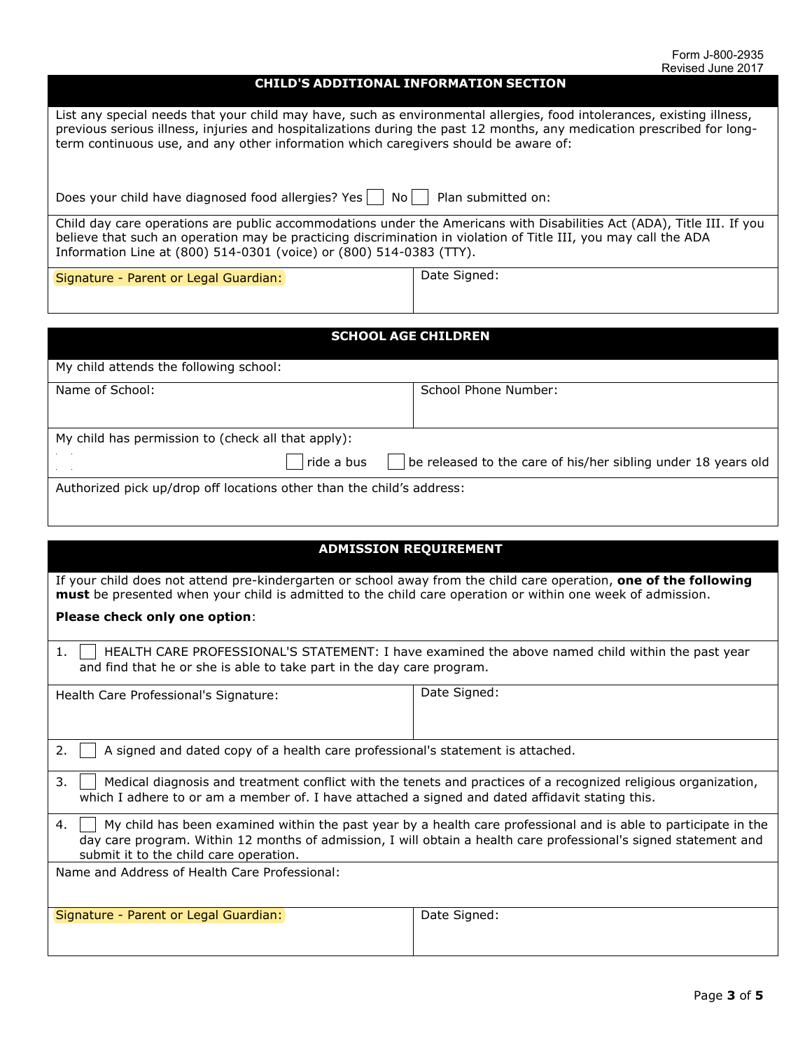Page **3** of **5**

### **CHILD'S ADDITIONAL INFORMATION SECTION**

List any special needs that your child may have, such as environmental allergies, food intolerances, existing illness, previous serious illness, injuries and hospitalizations during the past 12 months, any medication prescribed for longterm continuous use, and any other information which caregivers should be aware of:

| Does your child have diagnosed food allergies? Yes $\Box$ No $\Box$ Plan submitted on: |  |  |
|----------------------------------------------------------------------------------------|--|--|
|----------------------------------------------------------------------------------------|--|--|

Child day care operations are public accommodations under the Americans with Disabilities Act (ADA), Title III. If you believe that such an operation may be practicing discrimination in violation of Title III, you may call the ADA Information Line at (800) 514-0301 (voice) or (800) 514-0383 (TTY).

Signature - Parent or Legal Guardian: Signature - Parent or Legal Guardian:

**SCHOOL AGE CHILDREN**

| My child attends the following school:                                |            |                                                                       |
|-----------------------------------------------------------------------|------------|-----------------------------------------------------------------------|
| Name of School:                                                       |            | School Phone Number:                                                  |
|                                                                       |            |                                                                       |
|                                                                       |            |                                                                       |
| My child has permission to (check all that apply):                    |            |                                                                       |
| <b>Service</b>                                                        | ride a bus | $\vert$ be released to the care of his/her sibling under 18 years old |
| Authorized pick up/drop off locations other than the child's address: |            |                                                                       |

| <b>ADMISSION REQUIREMENT</b>                                                                                                                                                                                                                                                        |              |  |  |  |  |
|-------------------------------------------------------------------------------------------------------------------------------------------------------------------------------------------------------------------------------------------------------------------------------------|--------------|--|--|--|--|
| If your child does not attend pre-kindergarten or school away from the child care operation, one of the following<br>must be presented when your child is admitted to the child care operation or within one week of admission.                                                     |              |  |  |  |  |
| Please check only one option:                                                                                                                                                                                                                                                       |              |  |  |  |  |
| 1.<br>HEALTH CARE PROFESSIONAL'S STATEMENT: I have examined the above named child within the past year<br>and find that he or she is able to take part in the day care program.                                                                                                     |              |  |  |  |  |
| Health Care Professional's Signature:                                                                                                                                                                                                                                               | Date Signed: |  |  |  |  |
| 2.<br>A signed and dated copy of a health care professional's statement is attached.                                                                                                                                                                                                |              |  |  |  |  |
| 3.<br>Medical diagnosis and treatment conflict with the tenets and practices of a recognized religious organization,<br>which I adhere to or am a member of. I have attached a signed and dated affidavit stating this.                                                             |              |  |  |  |  |
| My child has been examined within the past year by a health care professional and is able to participate in the<br>4.<br>day care program. Within 12 months of admission, I will obtain a health care professional's signed statement and<br>submit it to the child care operation. |              |  |  |  |  |
| Name and Address of Health Care Professional:                                                                                                                                                                                                                                       |              |  |  |  |  |
| Signature - Parent or Legal Guardian:                                                                                                                                                                                                                                               | Date Signed: |  |  |  |  |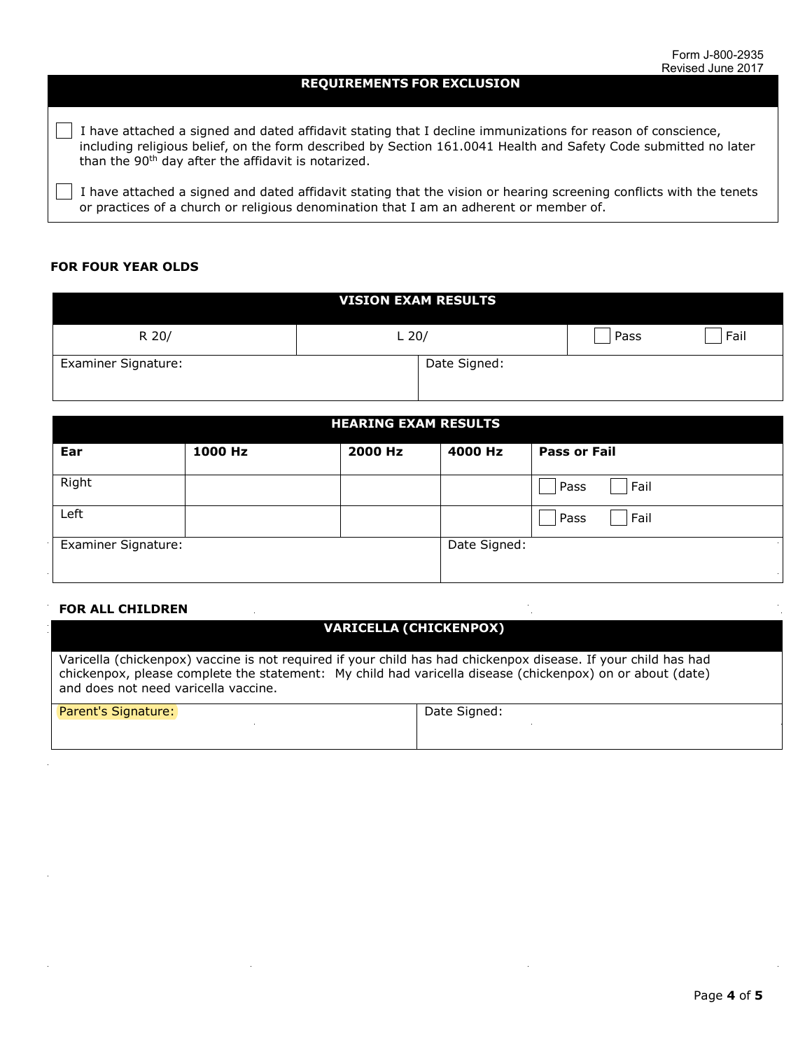#### **REQUIREMENTS FOR EXCLUSION**

 $\Box$  I have attached a signed and dated affidavit stating that I decline immunizations for reason of conscience, including religious belief, on the form described by Section 161.0041 Health and Safety Code submitted no later than the 90<sup>th</sup> day after the affidavit is notarized.

 I have attached a signed and dated affidavit stating that the vision or hearing screening conflicts with the tenets or practices of a church or religious denomination that I am an adherent or member of.

#### **FOR FOUR YEAR OLDS**

| <b>VISION EXAM RESULTS</b> |              |      |      |  |  |
|----------------------------|--------------|------|------|--|--|
| R 20/                      | $L$ 20/      | Pass | Fail |  |  |
| Examiner Signature:        | Date Signed: |      |      |  |  |

| <b>HEARING EXAM RESULTS</b> |         |         |              |                     |  |  |
|-----------------------------|---------|---------|--------------|---------------------|--|--|
| Ear                         | 1000 Hz | 2000 Hz | 4000 Hz      | <b>Pass or Fail</b> |  |  |
| Right                       |         |         |              | Fail<br>Pass        |  |  |
| Left                        |         |         |              | Fail<br>Pass        |  |  |
| <b>Examiner Signature:</b>  |         |         | Date Signed: |                     |  |  |
|                             |         |         |              |                     |  |  |

#### **FOR ALL CHILDREN**

# **VARICELLA (CHICKENPOX)**

Varicella (chickenpox) vaccine is not required if your child has had chickenpox disease. If your child has had chickenpox, please complete the statement: My child had varicella disease (chickenpox) on or about (date) and does not need varicella vaccine.

| <b>Parent's Signature:</b> | Date Signed: |
|----------------------------|--------------|
|                            |              |
|                            |              |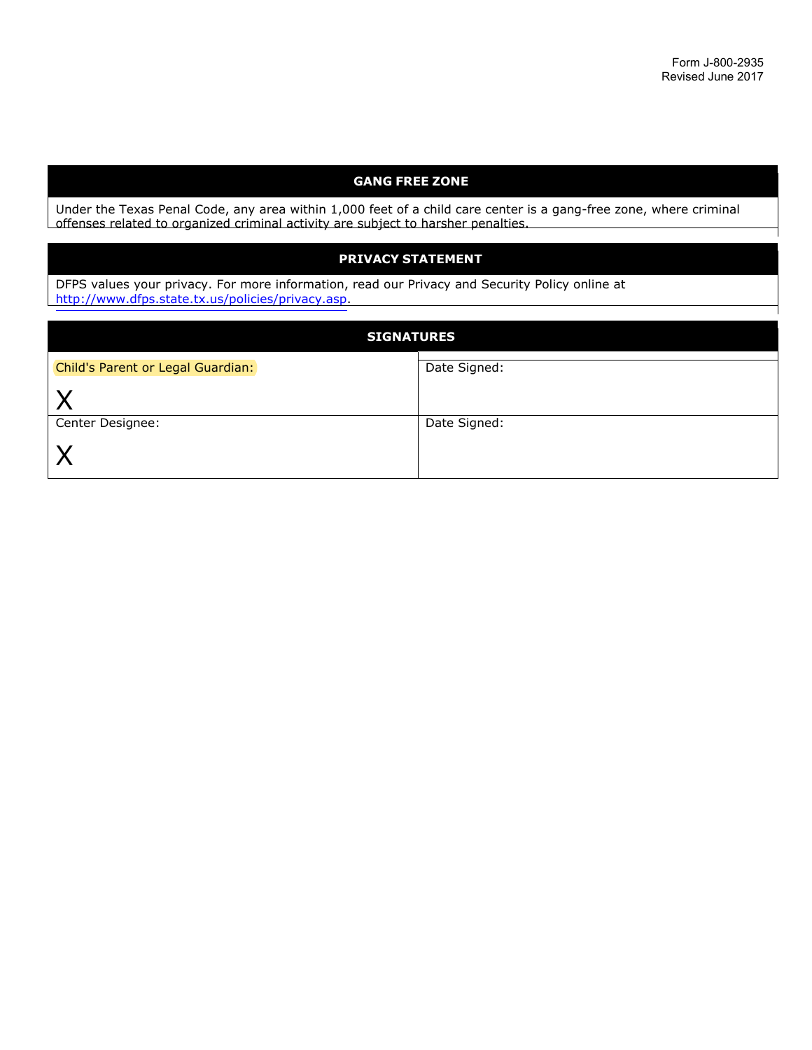## **GANG FREE ZONE**

Under the Texas Penal Code, any area within 1,000 feet of a child care center is a gang-free zone, where criminal offenses related to organized criminal activity are subject to harsher penalties.

## **PRIVACY STATEMENT**

DFPS values your privacy. For more information, read our Privacy and Security Policy online at http://www.dfps.state.tx.us/policies/privacy.asp.

| <b>SIGNATURES</b>                 |              |  |  |  |
|-----------------------------------|--------------|--|--|--|
| Child's Parent or Legal Guardian: | Date Signed: |  |  |  |
|                                   |              |  |  |  |
| Center Designee:                  | Date Signed: |  |  |  |
|                                   |              |  |  |  |